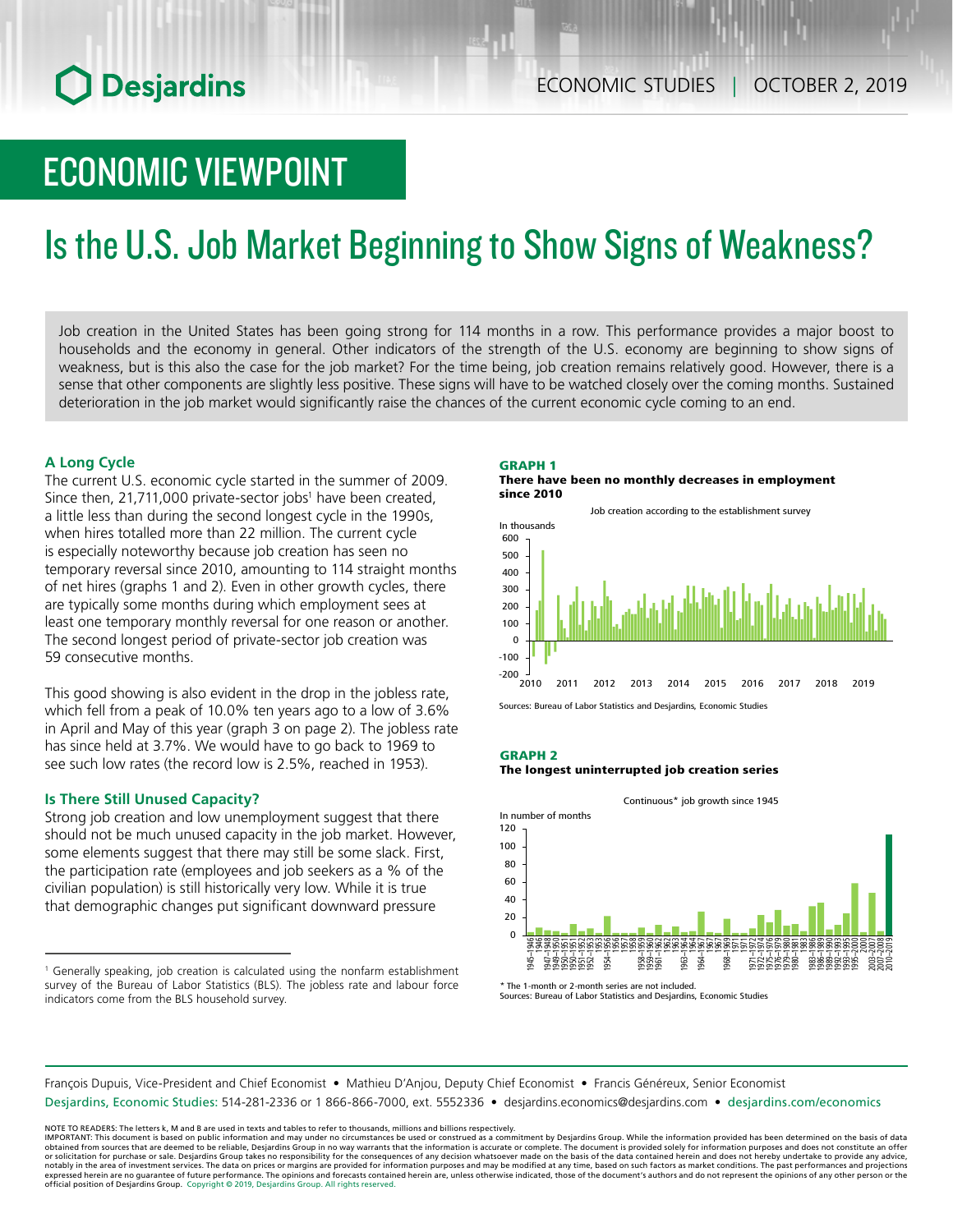# ECONOMIC VIEWPOINT

# Is the U.S. Job Market Beginning to Show Signs of Weakness?

Job creation in the United States has been going strong for 114 months in a row. This performance provides a major boost to households and the economy in general. Other indicators of the strength of the U.S. economy are beginning to show signs of weakness, but is this also the case for the job market? For the time being, job creation remains relatively good. However, there is a sense that other components are slightly less positive. These signs will have to be watched closely over the coming months. Sustained deterioration in the job market would significantly raise the chances of the current economic cycle coming to an end.

# **A Long Cycle**

The current U.S. economic cycle started in the summer of 2009. Since then, 21,711,000 private-sector jobs<sup>1</sup> have been created, a little less than during the second longest cycle in the 1990s, when hires totalled more than 22 million. The current cycle is especially noteworthy because job creation has seen no temporary reversal since 2010, amounting to 114 straight months of net hires (graphs 1 and 2). Even in other growth cycles, there are typically some months during which employment sees at least one temporary monthly reversal for one reason or another. The second longest period of private-sector job creation was 59 consecutive months.

This good showing is also evident in the drop in the jobless rate, which fell from a peak of 10.0% ten years ago to a low of 3.6% in April and May of this year (graph 3 on page 2). The jobless rate has since held at 3.7%. We would have to go back to 1969 to see such low rates (the record low is 2.5%, reached in 1953).

# **Is There Still Unused Capacity?**

Strong job creation and low unemployment suggest that there should not be much unused capacity in the job market. However, some elements suggest that there may still be some slack. First, the participation rate (employees and job seekers as a % of the civilian population) is still historically very low. While it is true that demographic changes put significant downward pressure

#### GRAPH 1 There have been no monthly decreases in employment since 2010

Job creation according to the establishment survey



Sources: Bureau of Labor Statistics and Desjardins, Economic Studies

### GRAPH 2

#### The longest uninterrupted job creation series



The 1-month or 2-month series are not included Sources: Bureau of Labor Statistics and Desjardins, Economic Studies

François Dupuis, Vice-President and Chief Economist • Mathieu D'Anjou, Deputy Chief Economist • Francis Généreux, Senior Economist Desjardins, Economic Studies: 514-281-2336 or 1 866-866-7000, ext. 5552336 • desjardins.economics@desjardins.com • [desjardins.com/economics](http://desjardins.com/economics)

NOTE TO READERS: The letters k, M and B are used in texts and tables to refer to thousands, millions and billions respectively.<br>IMPORTANT: This document is based on public information and may under no circumstances be used obtained from sources that are deemed to be reliable, Desjardins Group in no way warrants that the information is accurate or complete. The document is provided solely for information purposes and does not constitute an of expressed herein are no guarantee of future performance. The opinions and forecasts contained herein are, unless otherwise indicated, those of the document's authors and do not represent the opinions of any other person or official position of Desjardins Group. Copyright © 2019, Desjardins Group. All rights reserved.

<sup>&</sup>lt;sup>1</sup> Generally speaking, job creation is calculated using the nonfarm establishment survey of the Bureau of Labor Statistics (BLS). The jobless rate and labour force indicators come from the BLS household survey.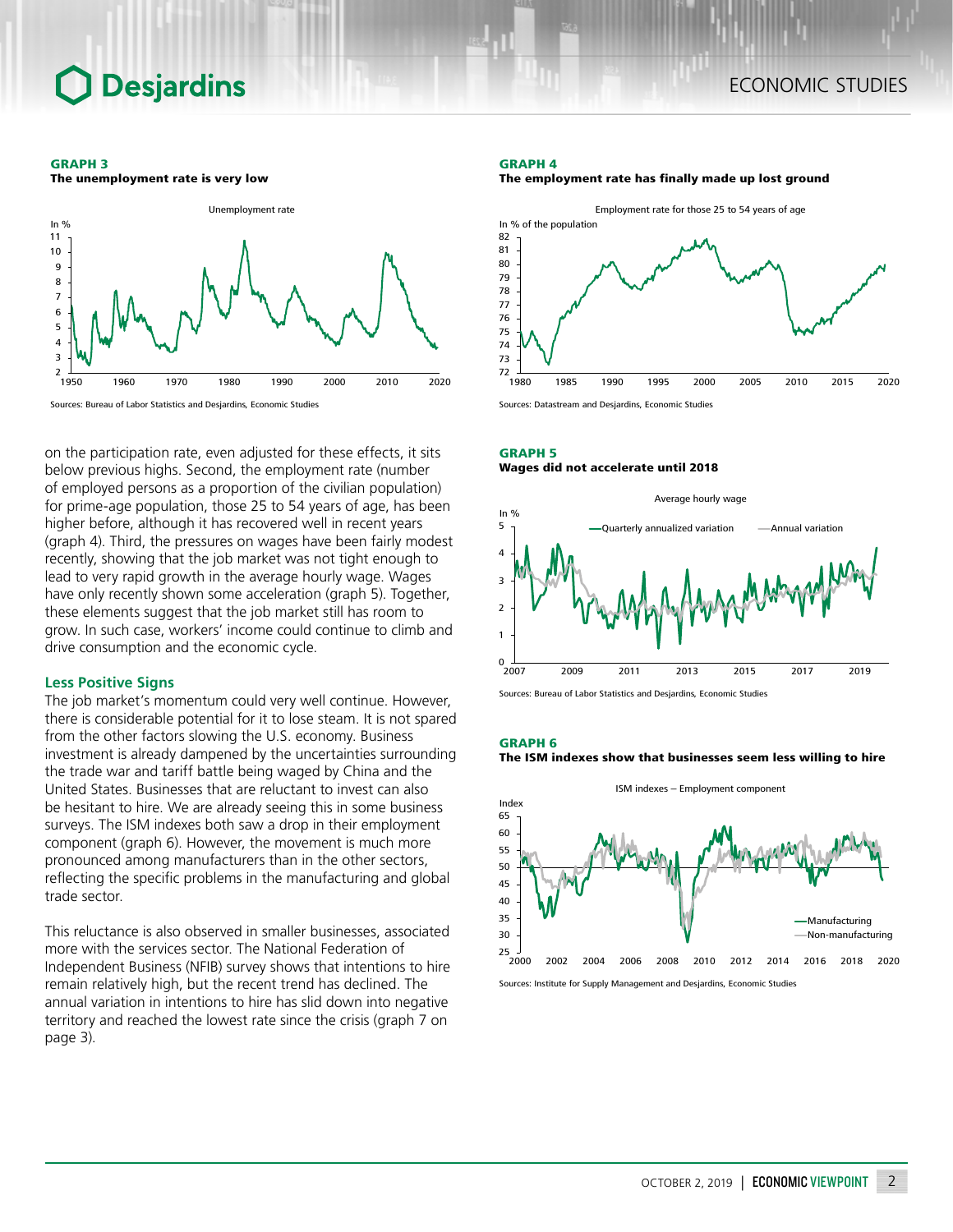# **Desjardins**

#### GRAPH 3

The unemployment rate is very low



Sources: Bureau of Labor Statistics and Desjardins, Economic Studies

on the participation rate, even adjusted for these effects, it sits below previous highs. Second, the employment rate (number of employed persons as a proportion of the civilian population) for prime-age population, those 25 to 54 years of age, has been higher before, although it has recovered well in recent years (graph 4). Third, the pressures on wages have been fairly modest recently, showing that the job market was not tight enough to lead to very rapid growth in the average hourly wage. Wages have only recently shown some acceleration (graph 5). Together, these elements suggest that the job market still has room to grow. In such case, workers' income could continue to climb and drive consumption and the economic cycle.

# **Less Positive Signs**

The job market's momentum could very well continue. However, there is considerable potential for it to lose steam. It is not spared from the other factors slowing the U.S. economy. Business investment is already dampened by the uncertainties surrounding the trade war and tariff battle being waged by China and the United States. Businesses that are reluctant to invest can also be hesitant to hire. We are already seeing this in some business surveys. The ISM indexes both saw a drop in their employment component (graph 6). However, the movement is much more pronounced among manufacturers than in the other sectors, reflecting the specific problems in the manufacturing and global trade sector.

This reluctance is also observed in smaller businesses, associated more with the services sector. The National Federation of Independent Business (NFIB) survey shows that intentions to hire remain relatively high, but the recent trend has declined. The annual variation in intentions to hire has slid down into negative territory and reached the lowest rate since the crisis (graph 7 on page 3).

#### GRAPH 4





Sources: Datastream and Desjardins, Economic Studies

# GRAPH 5 Wages did not accelerate until 2018



Sources: Bureau of Labor Statistics and Desjardins, Economic Studies

#### GRAPH 6





Sources: Institute for Supply Management and Desjardins, Economic Studies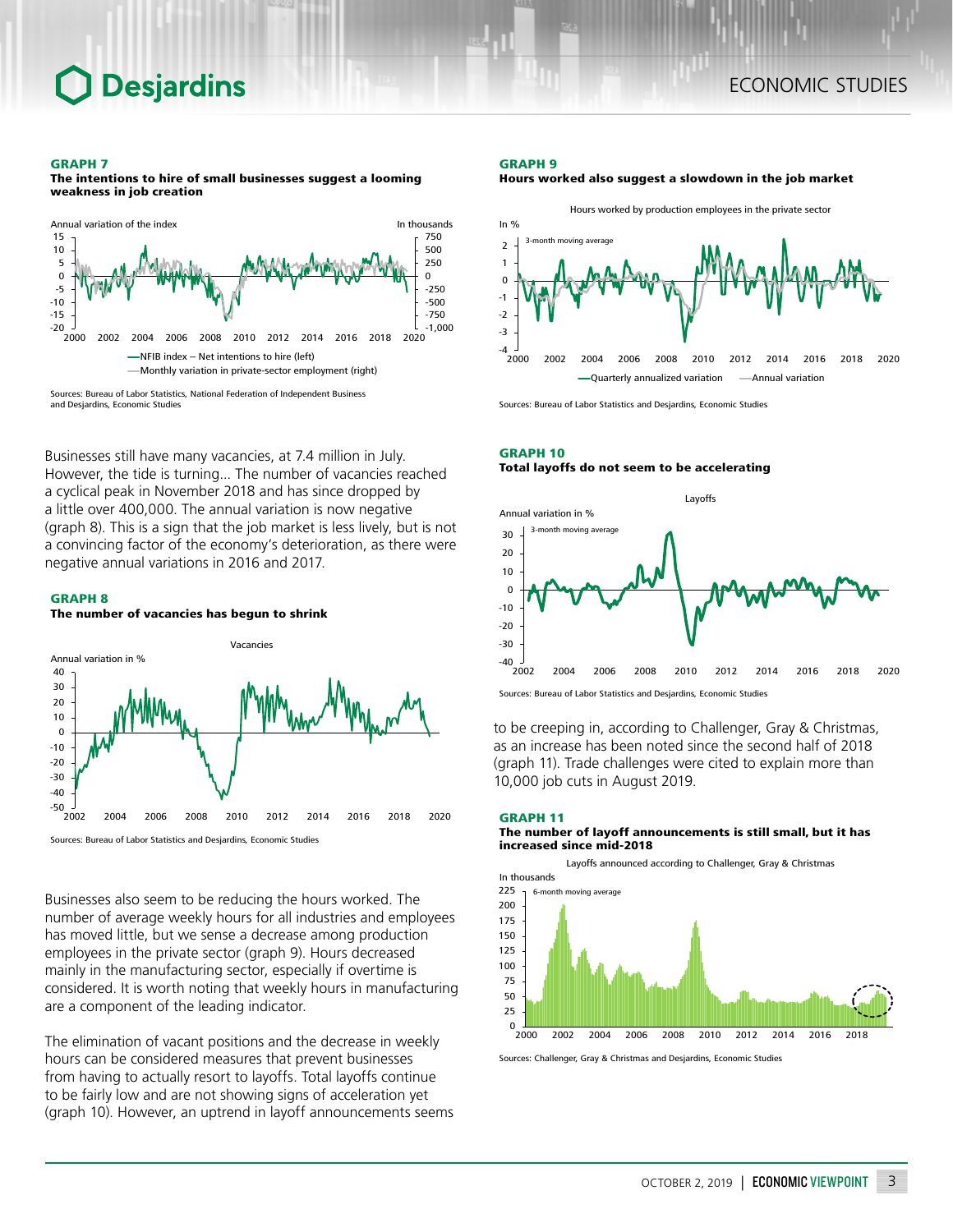#### GRAPH 7

The intentions to hire of small businesses suggest a looming weakness in job creation



Sources: Bureau of Labor Statistics, National Federation of Independent Business and Desjardins, Economic Studies

Businesses still have many vacancies, at 7.4 million in July. However, the tide is turning... The number of vacancies reached a cyclical peak in November 2018 and has since dropped by a little over 400,000. The annual variation is now negative (graph 8). This is a sign that the job market is less lively, but is not a convincing factor of the economy's deterioration, as there were negative annual variations in 2016 and 2017.

### GRAPH 8

The number of vacancies has begun to shrink



Sources: Bureau of Labor Statistics and Desjardins, Economic Studies

Businesses also seem to be reducing the hours worked. The number of average weekly hours for all industries and employees has moved little, but we sense a decrease among production employees in the private sector (graph 9). Hours decreased mainly in the manufacturing sector, especially if overtime is considered. It is worth noting that weekly hours in manufacturing are a component of the leading indicator.

The elimination of vacant positions and the decrease in weekly hours can be considered measures that prevent businesses from having to actually resort to layoffs. Total layoffs continue to be fairly low and are not showing signs of acceleration yet (graph 10). However, an uptrend in layoff announcements seems

#### GRAPH 9





Sources: Bureau of Labor Statistics and Desjardins, Economic Studies

## GRAPH 10 Total layoffs do not seem to be accelerating



Sources: Bureau of Labor Statistics and Desjardins, Economic Studies

to be creeping in, according to Challenger, Gray & Christmas, as an increase has been noted since the second half of 2018 (graph 11). Trade challenges were cited to explain more than 10,000 job cuts in August 2019.

#### GRAPH 11 The number of layoff announcements is still small, but it has increased since mid-2018



Sources: Challenger, Gray & Christmas and Desjardins, Economic Studies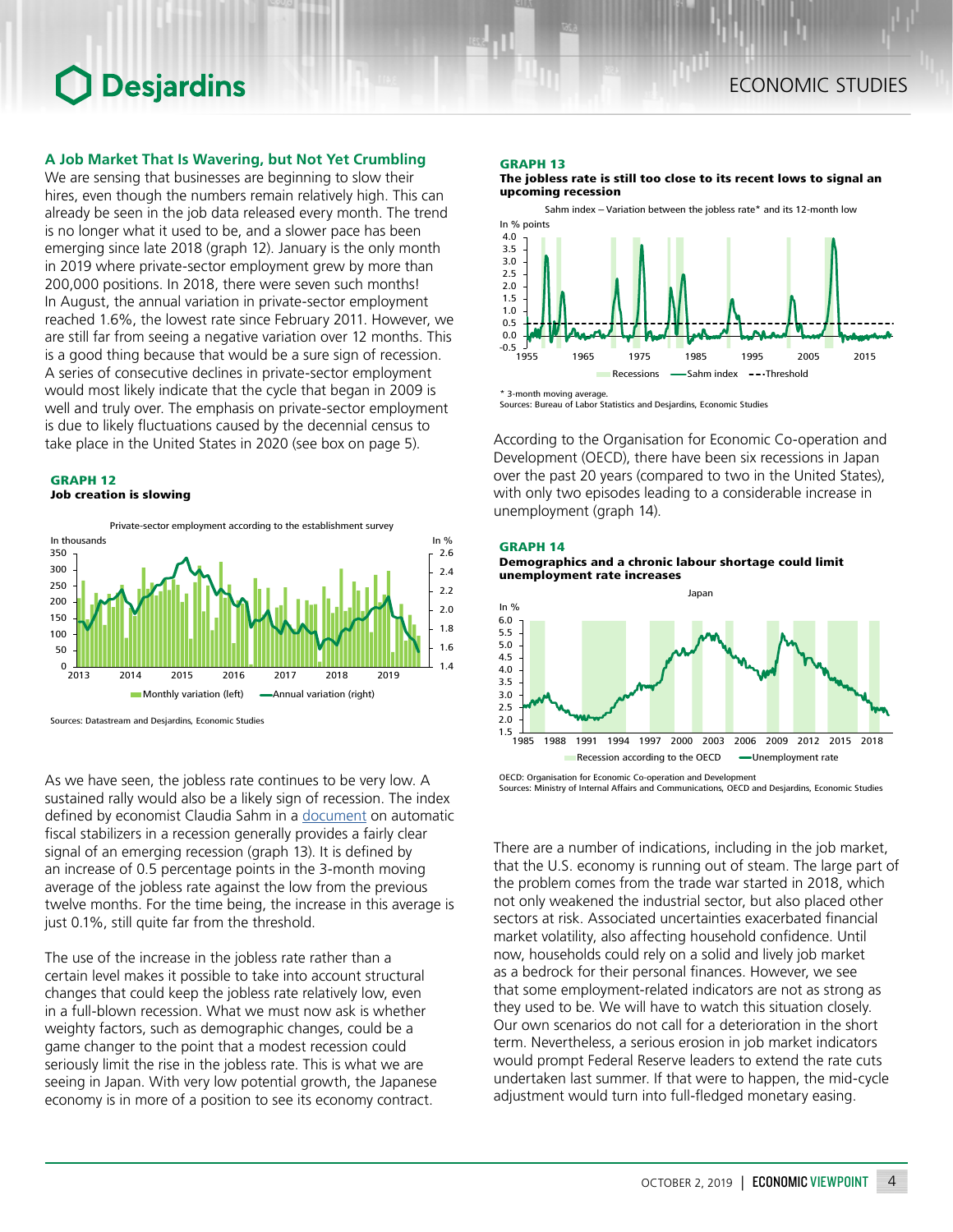# ECONOMIC STUDIES

# **O** Desjardins

# **A Job Market That Is Wavering, but Not Yet Crumbling**

We are sensing that businesses are beginning to slow their hires, even though the numbers remain relatively high. This can already be seen in the job data released every month. The trend is no longer what it used to be, and a slower pace has been emerging since late 2018 (graph 12). January is the only month in 2019 where private-sector employment grew by more than 200,000 positions. In 2018, there were seven such months! In August, the annual variation in private-sector employment reached 1.6%, the lowest rate since February 2011. However, we are still far from seeing a negative variation over 12 months. This is a good thing because that would be a sure sign of recession. A series of consecutive declines in private-sector employment would most likely indicate that the cycle that began in 2009 is well and truly over. The emphasis on private-sector employment is due to likely fluctuations caused by the decennial census to take place in the United States in 2020 (see box on page 5).

### GRAPH 12 Job creation is slowing



Sources: Datastream and Desjardins, Economic Studies

As we have seen, the jobless rate continues to be very low. A sustained rally would also be a likely sign of recession. The index defined by economist Claudia Sahm in a [document](https://www.hamiltonproject.org/assets/files/Sahm_web_20190506.pdf) on automatic fiscal stabilizers in a recession generally provides a fairly clear signal of an emerging recession (graph 13). It is defined by an increase of 0.5 percentage points in the 3-month moving average of the jobless rate against the low from the previous twelve months. For the time being, the increase in this average is just 0.1%, still quite far from the threshold.

The use of the increase in the jobless rate rather than a certain level makes it possible to take into account structural changes that could keep the jobless rate relatively low, even in a full-blown recession. What we must now ask is whether weighty factors, such as demographic changes, could be a game changer to the point that a modest recession could seriously limit the rise in the jobless rate. This is what we are seeing in Japan. With very low potential growth, the Japanese economy is in more of a position to see its economy contract.

### GRAPH 13

The jobless rate is still too close to its recent lows to signal an upcoming recession



Sources: Bureau of Labor Statistics and Desjardins, Economic Studies

According to the Organisation for Economic Co-operation and Development (OECD), there have been six recessions in Japan over the past 20 years (compared to two in the United States), with only two episodes leading to a considerable increase in unemployment (graph 14).

### GRAPH 14

Demographics and a chronic labour shortage could limit unemployment rate increases



OECD: Organisation for Economic Co-operation and Development Sources: Ministry of Internal Affairs and Communications, OECD and Desjardins, Economic Studies

There are a number of indications, including in the job market, that the U.S. economy is running out of steam. The large part of the problem comes from the trade war started in 2018, which not only weakened the industrial sector, but also placed other sectors at risk. Associated uncertainties exacerbated financial market volatility, also affecting household confidence. Until now, households could rely on a solid and lively job market as a bedrock for their personal finances. However, we see that some employment-related indicators are not as strong as they used to be. We will have to watch this situation closely. Our own scenarios do not call for a deterioration in the short term. Nevertheless, a serious erosion in job market indicators would prompt Federal Reserve leaders to extend the rate cuts undertaken last summer. If that were to happen, the mid-cycle adjustment would turn into full-fledged monetary easing.